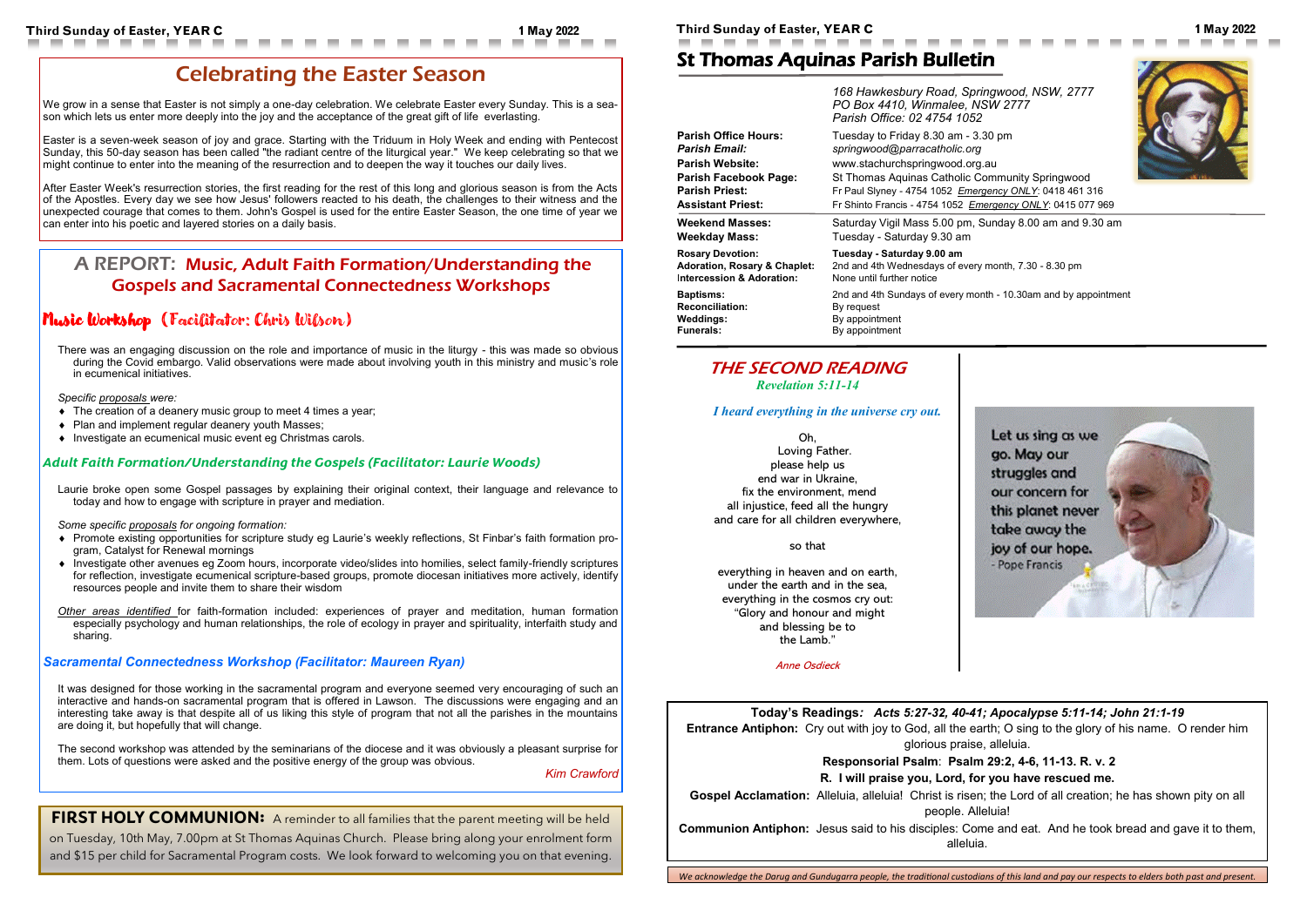### **Today's Readings***: Acts 5:27-32, 40-41; Apocalypse 5:11-14; John 21:1-19*

**Entrance Antiphon:** Cry out with joy to God, all the earth; O sing to the glory of his name. O render him glorious praise, alleluia.

**Gospel Acclamation:** Alleluia, alleluia! Christ is risen; the Lord of all creation; he has shown pity on all people. Alleluia!

**Responsorial Psalm**: **Psalm 29:2, 4-6, 11-13. R. v. 2**

#### **R. I will praise you, Lord, for you have rescued me.**

**Communion Antiphon:** Jesus said to his disciples: Come and eat. And he took bread and gave it to them, alleluia.

# St Thomas Aquinas Parish Bulletin







We grow in a sense that Easter is not simply a one-day celebration. We celebrate Easter every Sunday. This is a season which lets us enter more deeply into the joy and the acceptance of the great gift of life everlasting.

|                                         | 168 Hawkesbury Road, Springwood, NSW, 2777<br>PO Box 4410, Winmalee, NSW 2777<br>Parish Office: 02 4754 1052 |
|-----------------------------------------|--------------------------------------------------------------------------------------------------------------|
| <b>Parish Office Hours:</b>             | Tuesday to Friday 8.30 am - 3.30 pm                                                                          |
| <b>Parish Email:</b>                    | springwood@parracatholic.org                                                                                 |
| <b>Parish Website:</b>                  | www.stachurchspringwood.org.au                                                                               |
| <b>Parish Facebook Page:</b>            | St Thomas Aquinas Catholic Community Springwood                                                              |
| <b>Parish Priest:</b>                   | Fr Paul Slyney - 4754 1052 Emergency ONLY: 0418 461 316                                                      |
| <b>Assistant Priest:</b>                | Fr Shinto Francis - 4754 1052 Emergency ONLY: 0415 077 969                                                   |
| <b>Weekend Masses:</b>                  | Saturday Vigil Mass 5.00 pm, Sunday 8.00 am and 9.30 am                                                      |
| <b>Weekday Mass:</b>                    | Tuesday - Saturday 9.30 am                                                                                   |
| <b>Rosary Devotion:</b>                 | Tuesday - Saturday 9.00 am                                                                                   |
| <b>Adoration, Rosary &amp; Chaplet:</b> | 2nd and 4th Wednesdays of every month, 7.30 - 8.30 pm                                                        |
| Intercession & Adoration:               | None until further notice                                                                                    |
| <b>Baptisms:</b>                        | 2nd and 4th Sundays of every month - 10.30am and by appointment                                              |
| <b>Reconciliation:</b>                  | By request                                                                                                   |
| <b>Weddings:</b>                        | By appointment                                                                                               |
| <b>Funerals:</b>                        | By appointment                                                                                               |

# THE SECOND READING

*[Revelation 5:11](https://bible.usccb.org/bible/revelation/5?11)-14*

*I heard everything in the universe cry out.*

Oh, Loving Father. please help us

end war in Ukraine, fix the environment, mend all injustice, feed all the hungry and care for all children everywhere,

#### so that

everything in heaven and on earth, under the earth and in the sea, everything in the cosmos cry out: "Glory and honour and might and blessing be to the Lamb."

Anne Osdieck

# Celebrating the Easter Season

Easter is a seven-week season of joy and grace. Starting with the Triduum in Holy Week and ending with Pentecost Sunday, this 50-day season has been called "the radiant centre of the liturgical year." We keep celebrating so that we might continue to enter into the meaning of the resurrection and to deepen the way it touches our daily lives.

After Easter Week's resurrection stories, the first reading for the rest of this long and glorious season is from the Acts of the Apostles. Every day we see how Jesus' followers reacted to his death, the challenges to their witness and the unexpected courage that comes to them. John's Gospel is used for the entire Easter Season, the one time of year we can enter into his poetic and layered stories on a daily basis.

## A REPORT: Music, Adult Faith Formation/Understanding the Gospels and Sacramental Connectedness Workshops

## Music Workshop (Facilitator: Chris Wilson)

There was an engaging discussion on the role and importance of music in the liturgy - this was made so obvious during the Covid embargo. Valid observations were made about involving youth in this ministry and music's role in ecumenical initiatives.

#### *Specific proposals were:*

- The creation of a deanery music group to meet 4 times a year;
- Plan and implement regular deanery youth Masses;
- ◆ Investigate an ecumenical music event eg Christmas carols.

#### *Adult Faith Formation/Understanding the Gospels (Facilitator: Laurie Woods)*

Laurie broke open some Gospel passages by explaining their original context, their language and relevance to today and how to engage with scripture in prayer and mediation.

*Some specific proposals for ongoing formation:*

- Promote existing opportunities for scripture study eg Laurie's weekly reflections, St Finbar's faith formation program, Catalyst for Renewal mornings
- Investigate other avenues eg Zoom hours, incorporate video/slides into homilies, select family-friendly scriptures for reflection, investigate ecumenical scripture-based groups, promote diocesan initiatives more actively, identify resources people and invite them to share their wisdom

*Other areas identified* for faith-formation included: experiences of prayer and meditation, human formation especially psychology and human relationships, the role of ecology in prayer and spirituality, interfaith study and sharing.

#### *Sacramental Connectedness Workshop (Facilitator: Maureen Ryan)*

It was designed for those working in the sacramental program and everyone seemed very encouraging of such an interactive and hands-on sacramental program that is offered in Lawson. The discussions were engaging and an interesting take away is that despite all of us liking this style of program that not all the parishes in the mountains are doing it, but hopefully that will change.

The second workshop was attended by the seminarians of the diocese and it was obviously a pleasant surprise for them. Lots of questions were asked and the positive energy of the group was obvious.

*Kim Crawford*

**FIRST HOLY COMMUNION:** A reminder to all families that the parent meeting will be held

on Tuesday, 10th May, 7.00pm at St Thomas Aquinas Church. Please bring along your enrolment form and \$15 per child for Sacramental Program costs. We look forward to welcoming you on that evening.